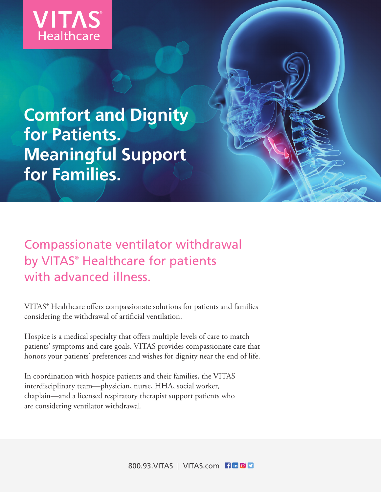

## **Comfort and Dignity for Patients. Meaningful Support for Families.**

Compassionate ventilator withdrawal by VITAS® Healthcare for patients with advanced illness.

VITAS® Healthcare offers compassionate solutions for patients and families considering the withdrawal of artificial ventilation.

Hospice is a medical specialty that offers multiple levels of care to match patients' symptoms and care goals. VITAS provides compassionate care that honors your patients' preferences and wishes for dignity near the end of life.

In coordination with hospice patients and their families, the VITAS interdisciplinary team—physician, nurse, HHA, social worker, chaplain—and a licensed respiratory therapist support patients who are considering ventilator withdrawal.